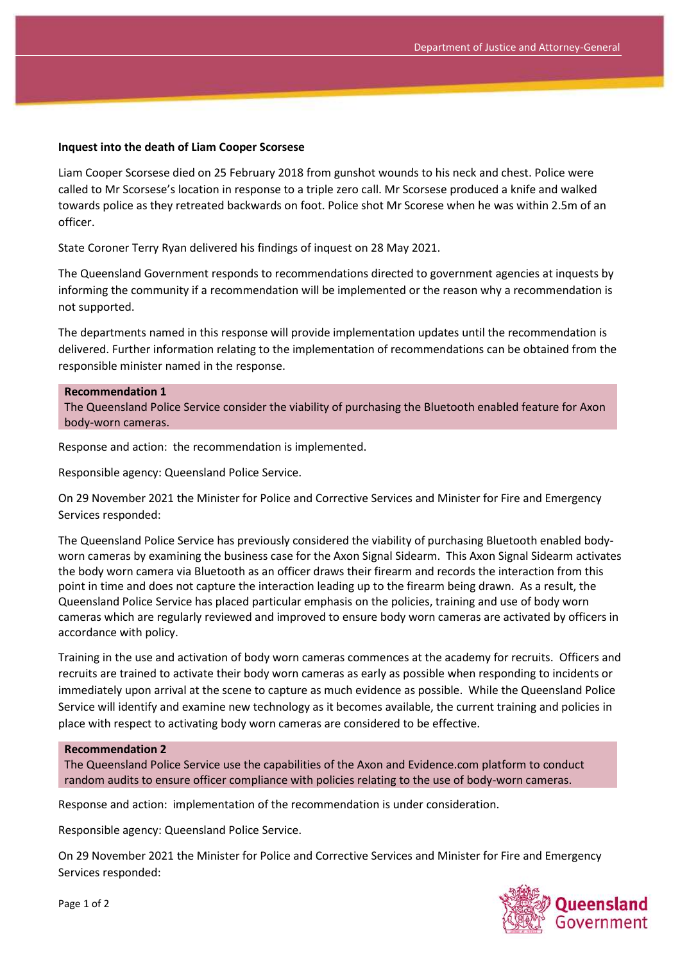## **Inquest into the death of Liam Cooper Scorsese**

Liam Cooper Scorsese died on 25 February 2018 from gunshot wounds to his neck and chest. Police were called to Mr Scorsese's location in response to a triple zero call. Mr Scorsese produced a knife and walked towards police as they retreated backwards on foot. Police shot Mr Scorese when he was within 2.5m of an officer.

State Coroner Terry Ryan delivered his findings of inquest on 28 May 2021.

The Queensland Government responds to recommendations directed to government agencies at inquests by informing the community if a recommendation will be implemented or the reason why a recommendation is not supported.

The departments named in this response will provide implementation updates until the recommendation is delivered. Further information relating to the implementation of recommendations can be obtained from the responsible minister named in the response.

## **Recommendation 1**

The Queensland Police Service consider the viability of purchasing the Bluetooth enabled feature for Axon body-worn cameras.

Response and action: the recommendation is implemented.

Responsible agency: Queensland Police Service.

On 29 November 2021 the Minister for Police and Corrective Services and Minister for Fire and Emergency Services responded:

The Queensland Police Service has previously considered the viability of purchasing Bluetooth enabled bodyworn cameras by examining the business case for the Axon Signal Sidearm. This Axon Signal Sidearm activates the body worn camera via Bluetooth as an officer draws their firearm and records the interaction from this point in time and does not capture the interaction leading up to the firearm being drawn. As a result, the Queensland Police Service has placed particular emphasis on the policies, training and use of body worn cameras which are regularly reviewed and improved to ensure body worn cameras are activated by officers in accordance with policy.

Training in the use and activation of body worn cameras commences at the academy for recruits. Officers and recruits are trained to activate their body worn cameras as early as possible when responding to incidents or immediately upon arrival at the scene to capture as much evidence as possible. While the Queensland Police Service will identify and examine new technology as it becomes available, the current training and policies in place with respect to activating body worn cameras are considered to be effective.

## **Recommendation 2**

The Queensland Police Service use the capabilities of the Axon and Evidence.com platform to conduct random audits to ensure officer compliance with policies relating to the use of body-worn cameras.

Response and action: implementation of the recommendation is under consideration.

Responsible agency: Queensland Police Service.

On 29 November 2021 the Minister for Police and Corrective Services and Minister for Fire and Emergency Services responded:



Page 1 of 2